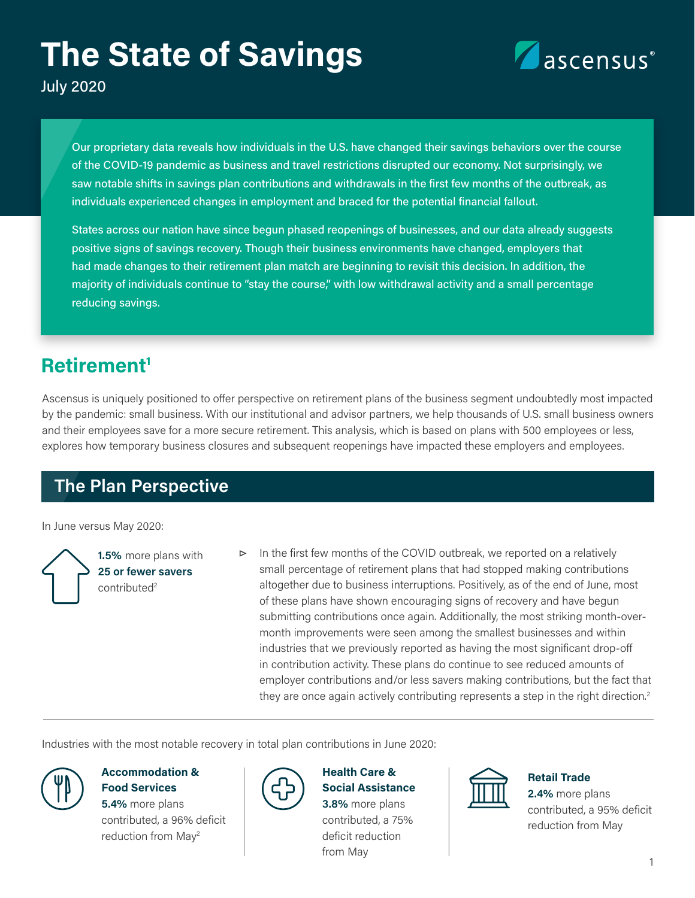# **The State of Savings**



July 2020

Our proprietary data reveals how individuals in the U.S. have changed their savings behaviors over the course of the COVID-19 pandemic as business and travel restrictions disrupted our economy. Not surprisingly, we saw notable shifts in savings plan contributions and withdrawals in the first few months of the outbreak, as individuals experienced changes in employment and braced for the potential financial fallout.

States across our nation have since begun phased reopenings of businesses, and our data already suggests positive signs of savings recovery. Though their business environments have changed, employers that had made changes to their retirement plan match are beginning to revisit this decision. In addition, the majority of individuals continue to "stay the course," with low withdrawal activity and a small percentage reducing savings.

# **Retirement1**

Ascensus is uniquely positioned to offer perspective on retirement plans of the business segment undoubtedly most impacted by the pandemic: small business. With our institutional and advisor partners, we help thousands of U.S. small business owners and their employees save for a more secure retirement. This analysis, which is based on plans with 500 employees or less, explores how temporary business closures and subsequent reopenings have impacted these employers and employees.

# **The Plan Perspective**

In June versus May 2020:

**1.5%** more plans with **25 or fewer savers** contributed<sup>2</sup>

**▷** In the first few months of the COVID outbreak, we reported on a relatively small percentage of retirement plans that had stopped making contributions altogether due to business interruptions. Positively, as of the end of June, most of these plans have shown encouraging signs of recovery and have begun submitting contributions once again. Additionally, the most striking month-overmonth improvements were seen among the smallest businesses and within industries that we previously reported as having the most significant drop-off in contribution activity. These plans do continue to see reduced amounts of employer contributions and/or less savers making contributions, but the fact that they are once again actively contributing represents a step in the right direction.<sup>2</sup>

Industries with the most notable recovery in total plan contributions in June 2020:

#### **Accommodation & Food Services**

**5.4%** more plans contributed, a 96% deficit reduction from May2



#### **Health Care & Social Assistance**

**3.8%** more plans contributed, a 75% deficit reduction from May



#### **Retail Trade**

**2.4%** more plans contributed, a 95% deficit reduction from May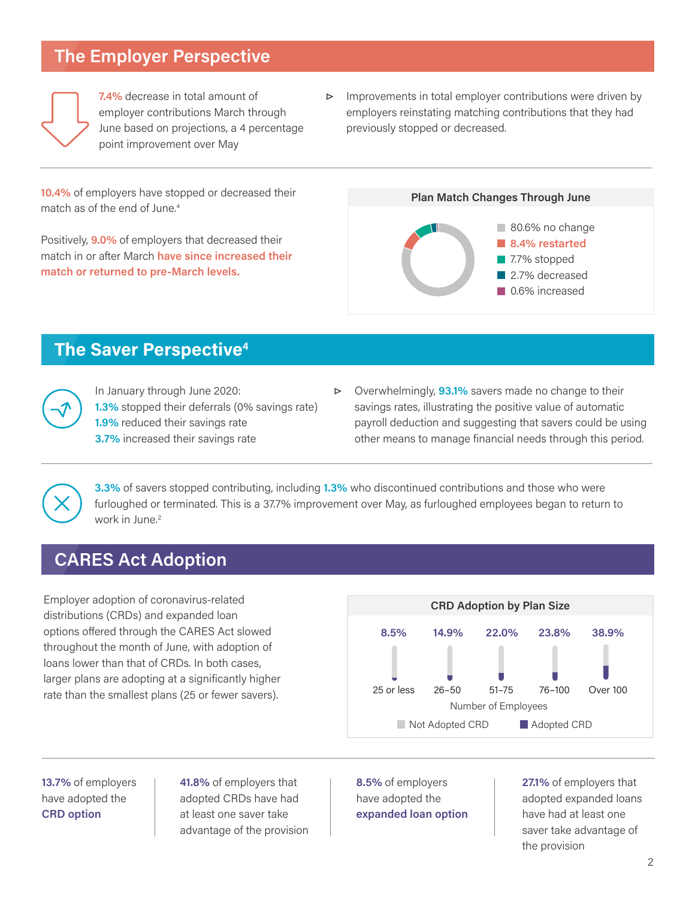# **The Employer Perspective**



**7.4%** decrease in total amount of employer contributions March through June based on projections, a 4 percentage point improvement over May

**▷** Improvements in total employer contributions were driven by employers reinstating matching contributions that they had previously stopped or decreased.

**10.4%** of employers have stopped or decreased their match as of the end of June.<sup>4</sup>

Positively, **9.0%** of employers that decreased their match in or after March **have since increased their match or returned to pre-March levels.** 



### **The Saver Perspective4**



In January through June 2020: **1.3%** stopped their deferrals (0% savings rate) **1.9%** reduced their savings rate **3.7%** increased their savings rate

**▷** Overwhelmingly, **93.1%** savers made no change to their savings rates, illustrating the positive value of automatic payroll deduction and suggesting that savers could be using other means to manage financial needs through this period.

**3.3%** of savers stopped contributing, including **1.3%** who discontinued contributions and those who were furloughed or terminated. This is a 37.7% improvement over May, as furloughed employees began to return to work in June.<sup>2</sup>

# **CARES Act Adoption**

Employer adoption of coronavirus-related distributions (CRDs) and expanded loan options offered through the CARES Act slowed throughout the month of June, with adoption of loans lower than that of CRDs. In both cases, larger plans are adopting at a significantly higher rate than the smallest plans (25 or fewer savers).



**13.7%** of employers have adopted the **CRD option**

**41.8%** of employers that adopted CRDs have had at least one saver take advantage of the provision **8.5%** of employers have adopted the **expanded loan option** **27.1%** of employers that adopted expanded loans have had at least one saver take advantage of the provision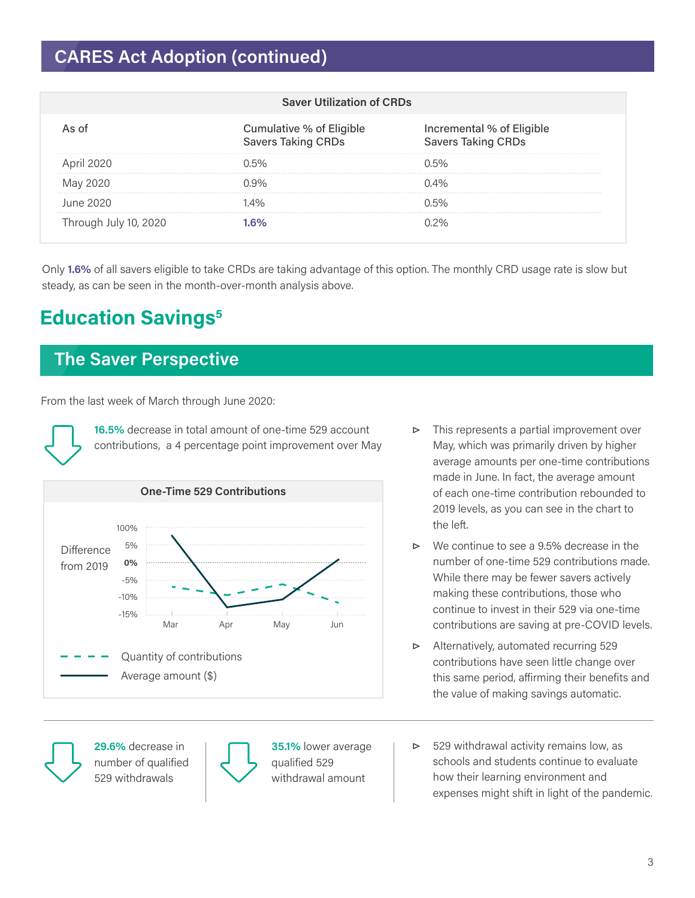# **CARES Act Adoption (continued)**

| <b>Saver Utilization of CRDs</b> |                                                       |                                                        |
|----------------------------------|-------------------------------------------------------|--------------------------------------------------------|
|                                  | Cumulative % of Eligible<br><b>Savers Taking CRDs</b> | Incremental % of Eligible<br><b>Savers Taking CRDs</b> |
| April 2020                       | ) 5%                                                  | በ 5%                                                   |
|                                  |                                                       | $0.4\%$                                                |
| June 2020                        | $\Delta\%$                                            | በ 5%                                                   |
| I hrough July 10, 2020           |                                                       |                                                        |

Only **1.6%** of all savers eligible to take CRDs are taking advantage of this option. The monthly CRD usage rate is slow but steady, as can be seen in the month-over-month analysis above.

# **Education Savings5**

# **The Saver Perspective**

From the last week of March through June 2020:

**16.5%** decrease in total amount of one-time 529 account contributions, a 4 percentage point improvement over May



- **▷** This represents a partial improvement over May, which was primarily driven by higher average amounts per one-time contributions made in June. In fact, the average amount of each one-time contribution rebounded to 2019 levels, as you can see in the chart to the left.
- **▷** We continue to see a 9.5% decrease in the number of one-time 529 contributions made. While there may be fewer savers actively making these contributions, those who continue to invest in their 529 via one-time contributions are saving at pre-COVID levels.
- **▷** Alternatively, automated recurring 529 contributions have seen little change over this same period, affirming their benefits and the value of making savings automatic.

**29.6%** decrease in number of qualified 529 withdrawals



**35.1%** lower average qualified 529 withdrawal amount

**▷** 529 withdrawal activity remains low, as schools and students continue to evaluate how their learning environment and expenses might shift in light of the pandemic.